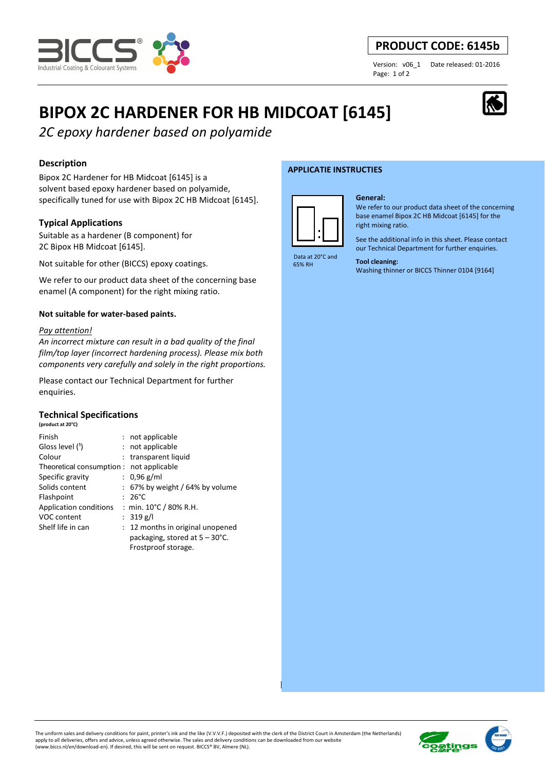

# **PRODUCT CODE: 6145b**

Page: 1 of 2

Version: v06\_1 Date released: 01-2016

# **BIPOX 2C HARDENER FOR HB MIDCOAT [6145]**

*2C epoxy hardener based on polyamide*

# **Description**

Bipox 2C Hardener for HB Midcoat [6145] is a solvent based epoxy hardener based on polyamide, specifically tuned for use with Bipox 2C HB Midcoat [6145].

# **Typical Applications**

Suitable as a hardener (B component) for 2C Bipox HB Midcoat [6145].

Not suitable for other (BICCS) epoxy coatings.

We refer to our product data sheet of the concerning base enamel (A component) for the right mixing ratio.

### **Not suitable for water-based paints.**

#### *Pay attention!*

*An incorrect mixture can result in a bad quality of the final film/top layer (incorrect hardening process). Please mix both components very carefully and solely in the right proportions.* 

Please contact our Technical Department for further enquiries.

#### **Technical Specifications (product at 20°C)**

| Finish                                   | : not applicable                         |
|------------------------------------------|------------------------------------------|
| Gloss level (1)                          | : not applicable                         |
| Colour                                   | : transparent liquid                     |
| Theoretical consumption : not applicable |                                          |
| Specific gravity                         | : $0.96$ g/ml                            |
| Solids content                           | $: 67\%$ by weight / 64% by volume       |
| Flashpoint                               | $: 26^{\circ}$ C                         |
| Application conditions                   | : min. $10^{\circ}$ C / 80% R.H.         |
| <b>VOC content</b>                       | : $319 g/l$                              |
| Shelf life in can                        | : 12 months in original unopened         |
|                                          | packaging, stored at $5 - 30^{\circ}$ C. |
|                                          | Frostproof storage.                      |

#### **APPLICATIE INSTRUCTIES**



#### **General:**

We refer to our product data sheet of the concerning base enamel Bipox 2C HB Midcoat [6145] for the right mixing ratio.

See the additional info in this sheet. Please contact our Technical Department for further enquiries.

 Data at 20°C and 65% RH

# **Tool cleaning:**

Washing thinner or BICCS Thinner 0104 [9164]